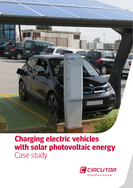

## **Charging electric vehicles with solar photovoltaic energy** Case study